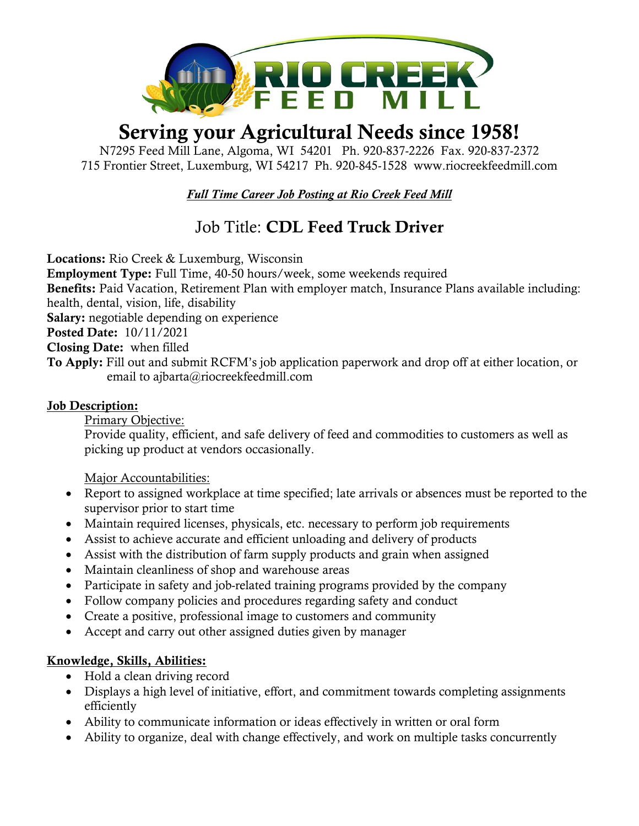

# Serving your Agricultural Needs since 1958!

N7295 Feed Mill Lane, Algoma, WI 54201 Ph. 920-837-2226 Fax. 920-837-2372 715 Frontier Street, Luxemburg, WI 54217 Ph. 920-845-1528 [www.riocreekfeedmill.com](http://www.riocreekfeedmill.com/)

*Full Time Career Job Posting at Rio Creek Feed Mill*

## Job Title: CDL Feed Truck Driver

Locations: Rio Creek & Luxemburg, Wisconsin Employment Type: Full Time, 40-50 hours/week, some weekends required Benefits: Paid Vacation, Retirement Plan with employer match, Insurance Plans available including: health, dental, vision, life, disability Salary: negotiable depending on experience Posted Date: 10/11/2021 Closing Date: when filled To Apply: Fill out and submit RCFM's job application paperwork and drop off at either location, or email to ajbarta@riocreekfeedmill.com

#### Job Description:

Primary Objective:

Provide quality, efficient, and safe delivery of feed and commodities to customers as well as picking up product at vendors occasionally.

Major Accountabilities:

- Report to assigned workplace at time specified; late arrivals or absences must be reported to the supervisor prior to start time
- Maintain required licenses, physicals, etc. necessary to perform job requirements
- Assist to achieve accurate and efficient unloading and delivery of products
- Assist with the distribution of farm supply products and grain when assigned
- Maintain cleanliness of shop and warehouse areas
- Participate in safety and job-related training programs provided by the company
- Follow company policies and procedures regarding safety and conduct
- Create a positive, professional image to customers and community
- Accept and carry out other assigned duties given by manager

#### Knowledge, Skills, Abilities:

- Hold a clean driving record
- Displays a high level of initiative, effort, and commitment towards completing assignments efficiently
- Ability to communicate information or ideas effectively in written or oral form
- Ability to organize, deal with change effectively, and work on multiple tasks concurrently